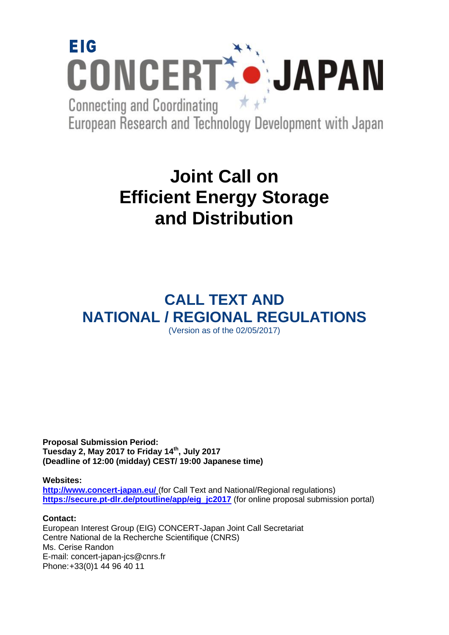

European Research and Technology Development with Japan

# **Joint Call on Efficient Energy Storage and Distribution**

# **CALL TEXT AND NATIONAL / REGIONAL REGULATIONS** (Version as of the 02/05/2017)

**Proposal Submission Period: Tuesday 2, May 2017 to Friday 14th, July 2017 (Deadline of 12:00 (midday) CEST/ 19:00 Japanese time)**

**Websites:** 

**<http://www.concert-japan.eu/>** (for Call Text and National/Regional regulations) https://secure.pt-dlr.de/ptoutline/app/eig\_ic2017 (for online proposal submission portal)

# **Contact:**

European Interest Group (EIG) CONCERT-Japan Joint Call Secretariat Centre National de la Recherche Scientifique (CNRS) Ms. Cerise Randon E-mail: concert-japan-jcs@cnrs.fr Phone:+33(0)1 44 96 40 11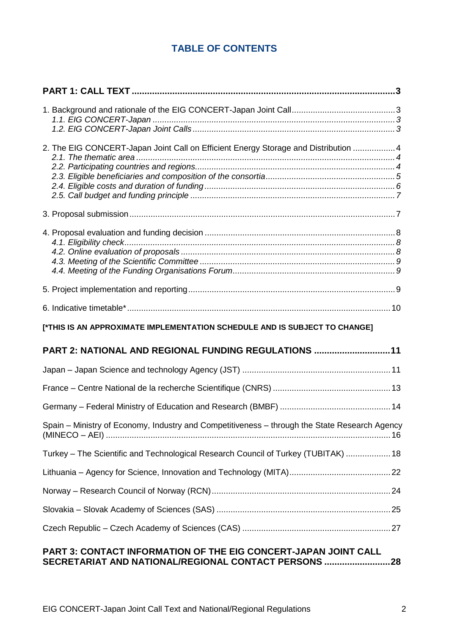# **TABLE OF CONTENTS**

| 2. The EIG CONCERT-Japan Joint Call on Efficient Energy Storage and Distribution  4           |  |
|-----------------------------------------------------------------------------------------------|--|
|                                                                                               |  |
|                                                                                               |  |
|                                                                                               |  |
|                                                                                               |  |
|                                                                                               |  |
|                                                                                               |  |
|                                                                                               |  |
|                                                                                               |  |
|                                                                                               |  |
|                                                                                               |  |
| [*THIS IS AN APPROXIMATE IMPLEMENTATION SCHEDULE AND IS SUBJECT TO CHANGE]                    |  |
| PART 2: NATIONAL AND REGIONAL FUNDING REGULATIONS 11                                          |  |
|                                                                                               |  |
|                                                                                               |  |
|                                                                                               |  |
| Spain - Ministry of Economy, Industry and Competitiveness - through the State Research Agency |  |
| Turkey - The Scientific and Technological Research Council of Turkey (TUBITAK)  18            |  |
|                                                                                               |  |
|                                                                                               |  |
|                                                                                               |  |
|                                                                                               |  |

# **[PART 3: CONTACT INFORMATION OF THE EIG CONCERT-JAPAN JOINT CALL](#page-2-0)  [SECRETARIAT AND NATIONAL/REGIONAL CONTACT PERSONS](#page-2-0) ..........................28**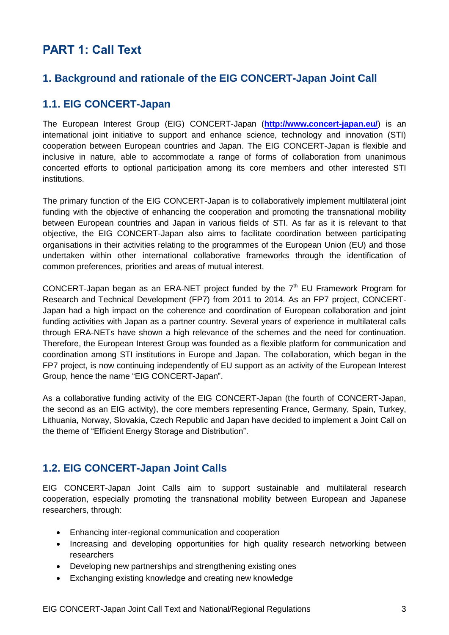# <span id="page-2-0"></span>**PART 1: Call Text**

# <span id="page-2-1"></span>**1. Background and rationale of the EIG CONCERT-Japan Joint Call**

# <span id="page-2-2"></span>**1.1. EIG CONCERT-Japan**

The European Interest Group (EIG) CONCERT-Japan (**<http://www.concert-japan.eu/>**) is an international joint initiative to support and enhance science, technology and innovation (STI) cooperation between European countries and Japan. The EIG CONCERT-Japan is flexible and inclusive in nature, able to accommodate a range of forms of collaboration from unanimous concerted efforts to optional participation among its core members and other interested STI institutions.

The primary function of the EIG CONCERT-Japan is to collaboratively implement multilateral joint funding with the objective of enhancing the cooperation and promoting the transnational mobility between European countries and Japan in various fields of STI. As far as it is relevant to that objective, the EIG CONCERT-Japan also aims to facilitate coordination between participating organisations in their activities relating to the programmes of the European Union (EU) and those undertaken within other international collaborative frameworks through the identification of common preferences, priorities and areas of mutual interest.

CONCERT-Japan began as an ERA-NET project funded by the  $7<sup>th</sup>$  EU Framework Program for Research and Technical Development (FP7) from 2011 to 2014. As an FP7 project, CONCERT-Japan had a high impact on the coherence and coordination of European collaboration and joint funding activities with Japan as a partner country. Several years of experience in multilateral calls through ERA-NETs have shown a high relevance of the schemes and the need for continuation. Therefore, the European Interest Group was founded as a flexible platform for communication and coordination among STI institutions in Europe and Japan. The collaboration, which began in the FP7 project, is now continuing independently of EU support as an activity of the European Interest Group, hence the name "EIG CONCERT-Japan".

As a collaborative funding activity of the EIG CONCERT-Japan (the fourth of CONCERT-Japan, the second as an EIG activity), the core members representing France, Germany, Spain, Turkey, Lithuania, Norway, Slovakia, Czech Republic and Japan have decided to implement a Joint Call on the theme of "Efficient Energy Storage and Distribution".

# <span id="page-2-3"></span>**1.2. EIG CONCERT-Japan Joint Calls**

EIG CONCERT-Japan Joint Calls aim to support sustainable and multilateral research cooperation, especially promoting the transnational mobility between European and Japanese researchers, through:

- Enhancing inter-regional communication and cooperation
- Increasing and developing opportunities for high quality research networking between researchers
- Developing new partnerships and strengthening existing ones
- Exchanging existing knowledge and creating new knowledge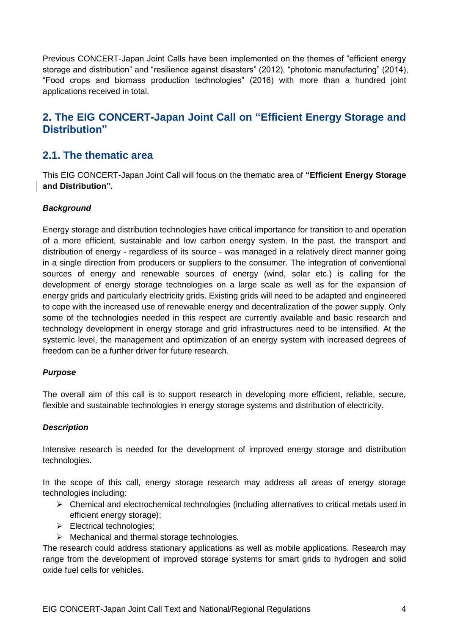Previous CONCERT-Japan Joint Calls have been implemented on the themes of "efficient energy storage and distribution" and "resilience against disasters" (2012), "photonic manufacturing" (2014), "Food crops and biomass production technologies" (2016) with more than a hundred joint applications received in total.

# <span id="page-3-0"></span>**2. The EIG CONCERT-Japan Joint Call on "Efficient Energy Storage and Distribution"**

# <span id="page-3-1"></span>**2.1. The thematic area**

This EIG CONCERT-Japan Joint Call will focus on the thematic area of **"Efficient Energy Storage and Distribution".**

# <span id="page-3-2"></span>*Background*

Energy storage and distribution technologies have critical importance for transition to and operation of a more efficient, sustainable and low carbon energy system. In the past, the transport and distribution of energy - regardless of its source - was managed in a relatively direct manner going in a single direction from producers or suppliers to the consumer. The integration of conventional sources of energy and renewable sources of energy (wind, solar etc.) is calling for the development of energy storage technologies on a large scale as well as for the expansion of energy grids and particularly electricity grids. Existing grids will need to be adapted and engineered to cope with the increased use of renewable energy and decentralization of the power supply. Only some of the technologies needed in this respect are currently available and basic research and technology development in energy storage and grid infrastructures need to be intensified. At the systemic level, the management and optimization of an energy system with increased degrees of freedom can be a further driver for future research.

# *Purpose*

The overall aim of this call is to support research in developing more efficient, reliable, secure, flexible and sustainable technologies in energy storage systems and distribution of electricity.

# *Description*

Intensive research is needed for the development of improved energy storage and distribution technologies.

In the scope of this call, energy storage research may address all areas of energy storage technologies including:

- $\triangleright$  Chemical and electrochemical technologies (including alternatives to critical metals used in efficient energy storage);
- $\triangleright$  Electrical technologies;
- $\triangleright$  Mechanical and thermal storage technologies.

The research could address stationary applications as well as mobile applications. Research may range from the development of improved storage systems for smart grids to hydrogen and solid oxide fuel cells for vehicles.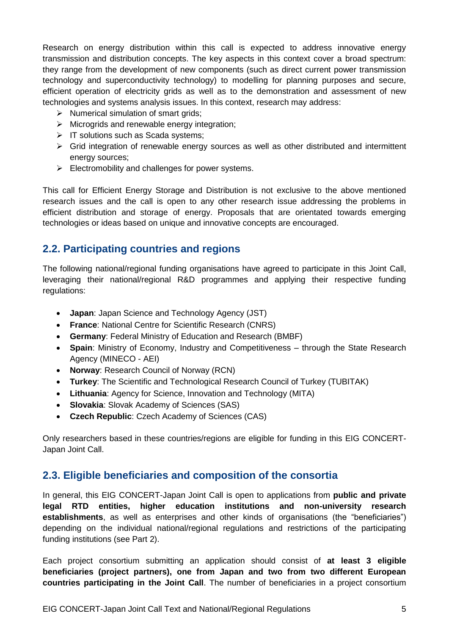Research on energy distribution within this call is expected to address innovative energy transmission and distribution concepts. The key aspects in this context cover a broad spectrum: they range from the development of new components (such as direct current power transmission technology and superconductivity technology) to modelling for planning purposes and secure, efficient operation of electricity grids as well as to the demonstration and assessment of new technologies and systems analysis issues. In this context, research may address:

- $\triangleright$  Numerical simulation of smart grids:
- $\triangleright$  Microgrids and renewable energy integration;
- $\triangleright$  IT solutions such as Scada systems;
- $\triangleright$  Grid integration of renewable energy sources as well as other distributed and intermittent energy sources;
- $\triangleright$  Electromobility and challenges for power systems.

This call for Efficient Energy Storage and Distribution is not exclusive to the above mentioned research issues and the call is open to any other research issue addressing the problems in efficient distribution and storage of energy. Proposals that are orientated towards emerging technologies or ideas based on unique and innovative concepts are encouraged.

# **2.2. Participating countries and regions**

The following national/regional funding organisations have agreed to participate in this Joint Call, leveraging their national/regional R&D programmes and applying their respective funding regulations:

- **Japan**: Japan Science and Technology Agency (JST)
- **France**: National Centre for Scientific Research (CNRS)
- **Germany**: Federal Ministry of Education and Research (BMBF)
- **Spain**: Ministry of Economy, Industry and Competitiveness through the State Research Agency (MINECO - AEI)
- **Norway**: Research Council of Norway (RCN)
- **Turkey**: The Scientific and Technological Research Council of Turkey (TUBITAK)
- **Lithuania**: Agency for Science, Innovation and Technology (MITA)
- **Slovakia**: Slovak Academy of Sciences (SAS)
- **Czech Republic**: Czech Academy of Sciences (CAS)

Only researchers based in these countries/regions are eligible for funding in this EIG CONCERT-Japan Joint Call.

# <span id="page-4-0"></span>**2.3. Eligible beneficiaries and composition of the consortia**

In general, this EIG CONCERT-Japan Joint Call is open to applications from **public and private legal RTD entities, higher education institutions and non-university research establishments**, as well as enterprises and other kinds of organisations (the "beneficiaries") depending on the individual national/regional regulations and restrictions of the participating funding institutions (see Part 2).

Each project consortium submitting an application should consist of **at least 3 eligible beneficiaries (project partners), one from Japan and two from two different European countries participating in the Joint Call**. The number of beneficiaries in a project consortium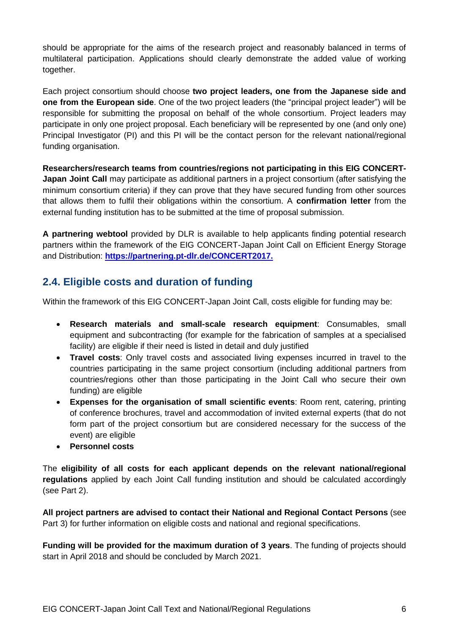should be appropriate for the aims of the research project and reasonably balanced in terms of multilateral participation. Applications should clearly demonstrate the added value of working together.

Each project consortium should choose **two project leaders, one from the Japanese side and one from the European side**. One of the two project leaders (the "principal project leader") will be responsible for submitting the proposal on behalf of the whole consortium. Project leaders may participate in only one project proposal. Each beneficiary will be represented by one (and only one) Principal Investigator (PI) and this PI will be the contact person for the relevant national/regional funding organisation.

**Researchers/research teams from countries/regions not participating in this EIG CONCERT-Japan Joint Call** may participate as additional partners in a project consortium (after satisfying the minimum consortium criteria) if they can prove that they have secured funding from other sources that allows them to fulfil their obligations within the consortium. A **confirmation letter** from the external funding institution has to be submitted at the time of proposal submission.

**A partnering webtool** provided by DLR is available to help applicants finding potential research partners within the framework of the EIG CONCERT-Japan Joint Call on Efficient Energy Storage and Distribution: **https://partnering.pt-dlr.de/CONCERT2017.**

# <span id="page-5-0"></span>**2.4. Eligible costs and duration of funding**

Within the framework of this EIG CONCERT-Japan Joint Call, costs eligible for funding may be:

- **Research materials and small-scale research equipment**: Consumables, small equipment and subcontracting (for example for the fabrication of samples at a specialised facility) are eligible if their need is listed in detail and duly justified
- **Travel costs**: Only travel costs and associated living expenses incurred in travel to the countries participating in the same project consortium (including additional partners from countries/regions other than those participating in the Joint Call who secure their own funding) are eligible
- **Expenses for the organisation of small scientific events**: Room rent, catering, printing of conference brochures, travel and accommodation of invited external experts (that do not form part of the project consortium but are considered necessary for the success of the event) are eligible
- **Personnel costs**

The **eligibility of all costs for each applicant depends on the relevant national/regional regulations** applied by each Joint Call funding institution and should be calculated accordingly (see Part 2).

**All project partners are advised to contact their National and Regional Contact Persons** (see Part 3) for further information on eligible costs and national and regional specifications.

**Funding will be provided for the maximum duration of 3 years**. The funding of projects should start in April 2018 and should be concluded by March 2021.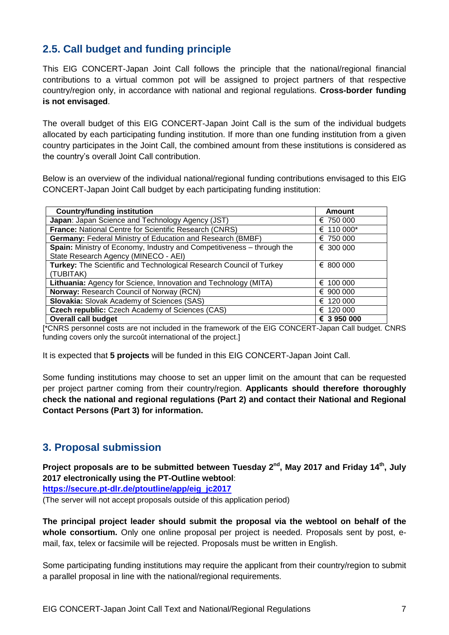# <span id="page-6-0"></span>**2.5. Call budget and funding principle**

This EIG CONCERT-Japan Joint Call follows the principle that the national/regional financial contributions to a virtual common pot will be assigned to project partners of that respective country/region only, in accordance with national and regional regulations. **Cross-border funding is not envisaged**.

The overall budget of this EIG CONCERT-Japan Joint Call is the sum of the individual budgets allocated by each participating funding institution. If more than one funding institution from a given country participates in the Joint Call, the combined amount from these institutions is considered as the country's overall Joint Call contribution.

Below is an overview of the individual national/regional funding contributions envisaged to this EIG CONCERT-Japan Joint Call budget by each participating funding institution:

| <b>Country/funding institution</b>                                     | Amount      |
|------------------------------------------------------------------------|-------------|
| Japan: Japan Science and Technology Agency (JST)                       | € 750 000   |
| France: National Centre for Scientific Research (CNRS)                 | € 110 000*  |
| <b>Germany: Federal Ministry of Education and Research (BMBF)</b>      | € 750 000   |
| Spain: Ministry of Economy, Industry and Competitiveness - through the | € 300 000   |
| State Research Agency (MINECO - AEI)                                   |             |
| Turkey: The Scientific and Technological Research Council of Turkey    | € 800 000   |
| (TUBITAK)                                                              |             |
| Lithuania: Agency for Science, Innovation and Technology (MITA)        | € 100 000   |
| Norway: Research Council of Norway (RCN)                               | € 900 000   |
| <b>Slovakia:</b> Slovak Academy of Sciences (SAS)                      | € 120 000   |
| <b>Czech republic:</b> Czech Academy of Sciences (CAS)                 | € 120 000   |
| <b>Overall call budget</b>                                             | € 3 950 000 |

[\*CNRS personnel costs are not included in the framework of the EIG CONCERT-Japan Call budget. CNRS funding covers only the surcoût international of the project.]

It is expected that **5 projects** will be funded in this EIG CONCERT-Japan Joint Call.

Some funding institutions may choose to set an upper limit on the amount that can be requested per project partner coming from their country/region. **Applicants should therefore thoroughly check the national and regional regulations (Part 2) and contact their National and Regional Contact Persons (Part 3) for information.**

# <span id="page-6-1"></span>**3. Proposal submission**

Project proposals are to be submitted between Tuesday 2<sup>nd</sup>, May 2017 and Friday 14<sup>th</sup>, July **2017 electronically using the PT-Outline webtool**:

**[https://secure.pt-dlr.de/ptoutline/app/eig\\_jc2017](https://secure.pt-dlr.de/ptoutline/app/eig_jc2017)**

(The server will not accept proposals outside of this application period)

**The principal project leader should submit the proposal via the webtool on behalf of the**  whole consortium. Only one online proposal per project is needed. Proposals sent by post, email, fax, telex or facsimile will be rejected. Proposals must be written in English.

Some participating funding institutions may require the applicant from their country/region to submit a parallel proposal in line with the national/regional requirements.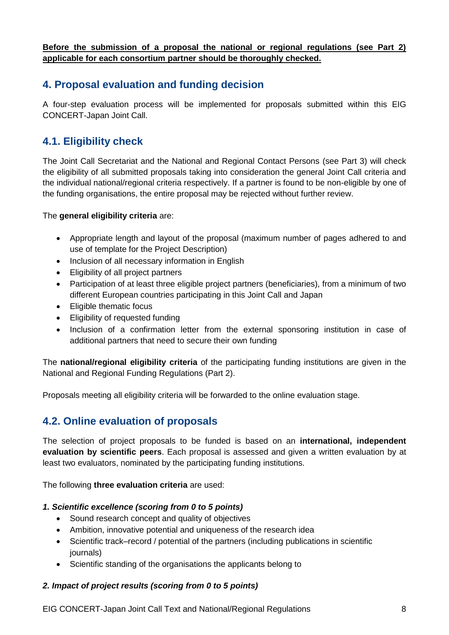**Before the submission of a proposal the national or regional regulations (see Part 2) applicable for each consortium partner should be thoroughly checked.**

# <span id="page-7-0"></span>**4. Proposal evaluation and funding decision**

A four-step evaluation process will be implemented for proposals submitted within this EIG CONCERT-Japan Joint Call.

# <span id="page-7-1"></span>**4.1. Eligibility check**

The Joint Call Secretariat and the National and Regional Contact Persons (see Part 3) will check the eligibility of all submitted proposals taking into consideration the general Joint Call criteria and the individual national/regional criteria respectively. If a partner is found to be non-eligible by one of the funding organisations, the entire proposal may be rejected without further review.

# The **general eligibility criteria** are:

- Appropriate length and layout of the proposal (maximum number of pages adhered to and use of template for the Project Description)
- Inclusion of all necessary information in English
- Eligibility of all project partners
- Participation of at least three eligible project partners (beneficiaries), from a minimum of two different European countries participating in this Joint Call and Japan
- Eligible thematic focus
- Eligibility of requested funding
- Inclusion of a confirmation letter from the external sponsoring institution in case of additional partners that need to secure their own funding

The **national/regional eligibility criteria** of the participating funding institutions are given in the National and Regional Funding Regulations (Part 2).

<span id="page-7-2"></span>Proposals meeting all eligibility criteria will be forwarded to the online evaluation stage.

# **4.2. Online evaluation of proposals**

The selection of project proposals to be funded is based on an **international, independent evaluation by scientific peers**. Each proposal is assessed and given a written evaluation by at least two evaluators, nominated by the participating funding institutions.

The following **three evaluation criteria** are used:

# *1. Scientific excellence (scoring from 0 to 5 points)*

- Sound research concept and quality of objectives
- Ambition, innovative potential and uniqueness of the research idea
- Scientific track–record / potential of the partners (including publications in scientific journals)
- Scientific standing of the organisations the applicants belong to

# *2. Impact of project results (scoring from 0 to 5 points)*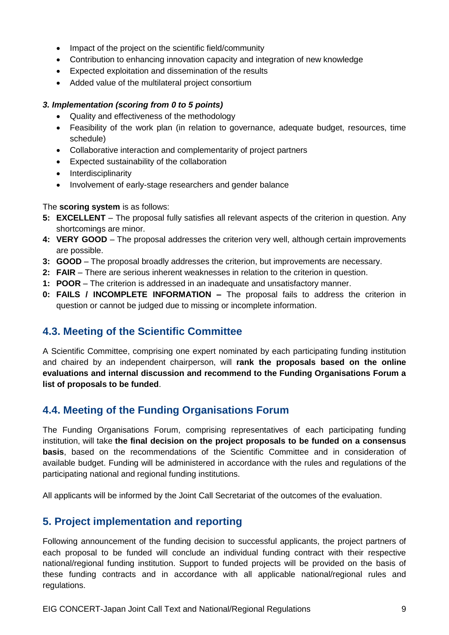- Impact of the project on the scientific field/community
- Contribution to enhancing innovation capacity and integration of new knowledge
- Expected exploitation and dissemination of the results
- Added value of the multilateral project consortium

# *3. Implementation (scoring from 0 to 5 points)*

- Quality and effectiveness of the methodology
- Feasibility of the work plan (in relation to governance, adequate budget, resources, time schedule)
- Collaborative interaction and complementarity of project partners
- Expected sustainability of the collaboration
- Interdisciplinarity
- Involvement of early-stage researchers and gender balance

The **scoring system** is as follows:

- **5: EXCELLENT**  The proposal fully satisfies all relevant aspects of the criterion in question. Any shortcomings are minor.
- **4: VERY GOOD**  The proposal addresses the criterion very well, although certain improvements are possible.
- **3: GOOD**  The proposal broadly addresses the criterion, but improvements are necessary.
- **2: FAIR**  There are serious inherent weaknesses in relation to the criterion in question.
- **1: POOR** The criterion is addressed in an inadequate and unsatisfactory manner.
- **0: FAILS / INCOMPLETE INFORMATION –** The proposal fails to address the criterion in question or cannot be judged due to missing or incomplete information.

# <span id="page-8-0"></span>**4.3. Meeting of the Scientific Committee**

A Scientific Committee, comprising one expert nominated by each participating funding institution and chaired by an independent chairperson, will **rank the proposals based on the online evaluations and internal discussion and recommend to the Funding Organisations Forum a list of proposals to be funded**.

# <span id="page-8-1"></span>**4.4. Meeting of the Funding Organisations Forum**

The Funding Organisations Forum, comprising representatives of each participating funding institution, will take **the final decision on the project proposals to be funded on a consensus basis**, based on the recommendations of the Scientific Committee and in consideration of available budget. Funding will be administered in accordance with the rules and regulations of the participating national and regional funding institutions.

<span id="page-8-2"></span>All applicants will be informed by the Joint Call Secretariat of the outcomes of the evaluation.

# **5. Project implementation and reporting**

Following announcement of the funding decision to successful applicants, the project partners of each proposal to be funded will conclude an individual funding contract with their respective national/regional funding institution. Support to funded projects will be provided on the basis of these funding contracts and in accordance with all applicable national/regional rules and regulations.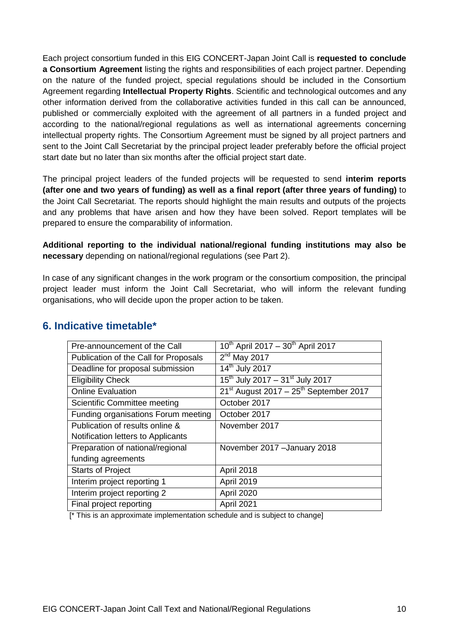Each project consortium funded in this EIG CONCERT-Japan Joint Call is **requested to conclude a Consortium Agreement** listing the rights and responsibilities of each project partner. Depending on the nature of the funded project, special regulations should be included in the Consortium Agreement regarding **Intellectual Property Rights**. Scientific and technological outcomes and any other information derived from the collaborative activities funded in this call can be announced, published or commercially exploited with the agreement of all partners in a funded project and according to the national/regional regulations as well as international agreements concerning intellectual property rights. The Consortium Agreement must be signed by all project partners and sent to the Joint Call Secretariat by the principal project leader preferably before the official project start date but no later than six months after the official project start date.

The principal project leaders of the funded projects will be requested to send **interim reports (after one and two years of funding) as well as a final report (after three years of funding)** to the Joint Call Secretariat. The reports should highlight the main results and outputs of the projects and any problems that have arisen and how they have been solved. Report templates will be prepared to ensure the comparability of information.

**Additional reporting to the individual national/regional funding institutions may also be necessary** depending on national/regional regulations (see Part 2).

In case of any significant changes in the work program or the consortium composition, the principal project leader must inform the Joint Call Secretariat, who will inform the relevant funding organisations, who will decide upon the proper action to be taken.

| Pre-announcement of the Call          | $10^{th}$ April 2017 - $30^{th}$ April 2017 |
|---------------------------------------|---------------------------------------------|
| Publication of the Call for Proposals | $2nd$ May 2017                              |
| Deadline for proposal submission      | 14 <sup>th</sup> July 2017                  |
| <b>Eligibility Check</b>              | $15^{th}$ July 2017 - 31st July 2017        |
| <b>Online Evaluation</b>              | $21st$ August 2017 – $25th$ September 2017  |
| <b>Scientific Committee meeting</b>   | October 2017                                |
| Funding organisations Forum meeting   | October 2017                                |
| Publication of results online &       | November 2017                               |
| Notification letters to Applicants    |                                             |
| Preparation of national/regional      | November 2017 - January 2018                |
| funding agreements                    |                                             |
| <b>Starts of Project</b>              | April 2018                                  |
| Interim project reporting 1           | April 2019                                  |
| Interim project reporting 2           | April 2020                                  |
| Final project reporting               | April 2021                                  |
|                                       |                                             |

# <span id="page-9-0"></span>**6. Indicative timetable\***

[\* This is an approximate implementation schedule and is subject to change]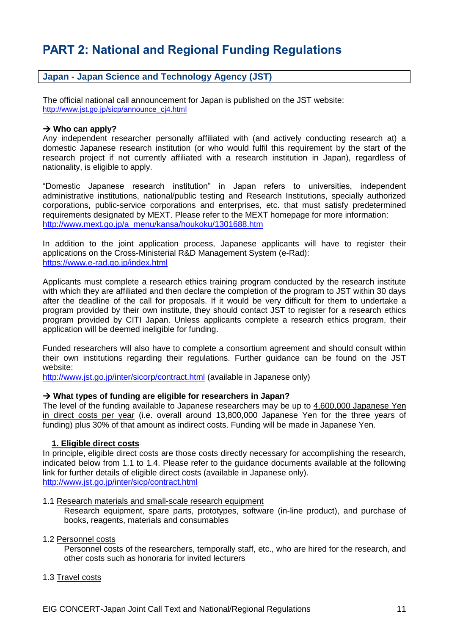# **PART 2: National and Regional Funding Regulations**

# **Japan - Japan Science and Technology Agency (JST)**

The official national call announcement for Japan is published on the JST website: [http://www.jst.go.jp/sicp/announce\\_cj4.html](http://www.jst.go.jp/sicp/announce_cj4.html)

#### $→$  **Who can apply?**

Any independent researcher personally affiliated with (and actively conducting research at) a domestic Japanese research institution (or who would fulfil this requirement by the start of the research project if not currently affiliated with a research institution in Japan), regardless of nationality, is eligible to apply.

"Domestic Japanese research institution" in Japan refers to universities, independent administrative institutions, national/public testing and Research Institutions, specially authorized corporations, public-service corporations and enterprises, etc. that must satisfy predetermined requirements designated by MEXT. Please refer to the MEXT homepage for more information: [http://www.mext.go.jp/a\\_menu/kansa/houkoku/1301688.htm](http://www.mext.go.jp/a_menu/kansa/houkoku/1301688.htm)

In addition to the joint application process, Japanese applicants will have to register their applications on the Cross-Ministerial R&D Management System (e-Rad): <https://www.e-rad.go.jp/index.html>

Applicants must complete a research ethics training program conducted by the research institute with which they are affiliated and then declare the completion of the program to JST within 30 days after the deadline of the call for proposals. If it would be very difficult for them to undertake a program provided by their own institute, they should contact JST to register for a research ethics program provided by CITI Japan. Unless applicants complete a research ethics program, their application will be deemed ineligible for funding.

Funded researchers will also have to complete a consortium agreement and should consult within their own institutions regarding their regulations. Further guidance can be found on the JST website:

<http://www.jst.go.jp/inter/sicorp/contract.html> (available in Japanese only)

#### **What types of funding are eligible for researchers in Japan?**

The level of the funding available to Japanese researchers may be up to 4,600,000 Japanese Yen in direct costs per year (i.e. overall around 13,800,000 Japanese Yen for the three years of funding) plus 30% of that amount as indirect costs. Funding will be made in Japanese Yen.

#### **1. Eligible direct costs**

In principle, eligible direct costs are those costs directly necessary for accomplishing the research, indicated below from 1.1 to 1.4. Please refer to the guidance documents available at the following link for further details of eligible direct costs (available in Japanese only). http://www.jst.go.jp/inter/sicp/contract.html

#### 1.1 Research materials and small-scale research equipment

Research equipment, spare parts, prototypes, software (in-line product), and purchase of books, reagents, materials and consumables

#### 1.2 Personnel costs

Personnel costs of the researchers, temporally staff, etc., who are hired for the research, and other costs such as honoraria for invited lecturers

#### 1.3 Travel costs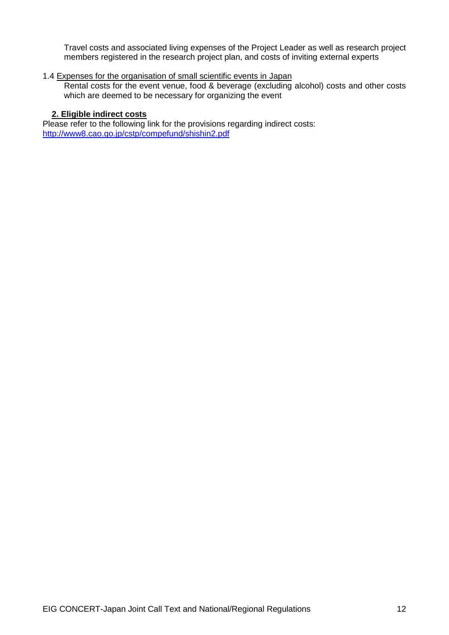Travel costs and associated living expenses of the Project Leader as well as research project members registered in the research project plan, and costs of inviting external experts

# 1.4 Expenses for the organisation of small scientific events in Japan

Rental costs for the event venue, food & beverage (excluding alcohol) costs and other costs which are deemed to be necessary for organizing the event

# **2. Eligible indirect costs**

Please refer to the following link for the provisions regarding indirect costs: <http://www8.cao.go.jp/cstp/compefund/shishin2.pdf>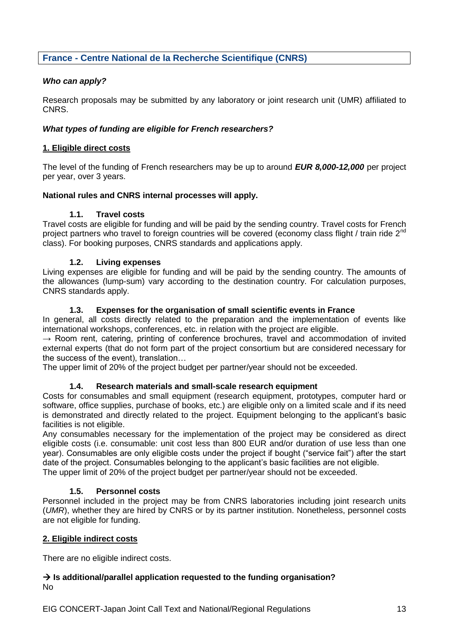# **France - Centre National de la Recherche Scientifique (CNRS)**

# *Who can apply?*

Research proposals may be submitted by any laboratory or joint research unit (UMR) affiliated to CNRS.

# *What types of funding are eligible for French researchers?*

# **1. Eligible direct costs**

The level of the funding of French researchers may be up to around *EUR 8,000-12,000* per project per year, over 3 years.

# **National rules and CNRS internal processes will apply.**

# **1.1. Travel costs**

Travel costs are eligible for funding and will be paid by the sending country. Travel costs for French project partners who travel to foreign countries will be covered (economy class flight / train ride 2<sup>nd</sup> class). For booking purposes, CNRS standards and applications apply.

# **1.2. Living expenses**

Living expenses are eligible for funding and will be paid by the sending country. The amounts of the allowances (lump-sum) vary according to the destination country. For calculation purposes, CNRS standards apply.

# **1.3. Expenses for the organisation of small scientific events in France**

In general, all costs directly related to the preparation and the implementation of events like international workshops, conferences, etc. in relation with the project are eligible.

 $\rightarrow$  Room rent, catering, printing of conference brochures, travel and accommodation of invited external experts (that do not form part of the project consortium but are considered necessary for the success of the event), translation…

The upper limit of 20% of the project budget per partner/year should not be exceeded.

# **1.4. Research materials and small-scale research equipment**

Costs for consumables and small equipment (research equipment, prototypes, computer hard or software, office supplies, purchase of books, etc.) are eligible only on a limited scale and if its need is demonstrated and directly related to the project. Equipment belonging to the applicant's basic facilities is not eligible.

Any consumables necessary for the implementation of the project may be considered as direct eligible costs (i.e. consumable: unit cost less than 800 EUR and/or duration of use less than one year). Consumables are only eligible costs under the project if bought ("service fait") after the start date of the project. Consumables belonging to the applicant's basic facilities are not eligible. The upper limit of 20% of the project budget per partner/year should not be exceeded.

# **1.5. Personnel costs**

Personnel included in the project may be from CNRS laboratories including joint research units (*UMR*), whether they are hired by CNRS or by its partner institution. Nonetheless, personnel costs are not eligible for funding.

# **2. Eligible indirect costs**

There are no eligible indirect costs.

# **→ Is additional/parallel application requested to the funding organisation?** No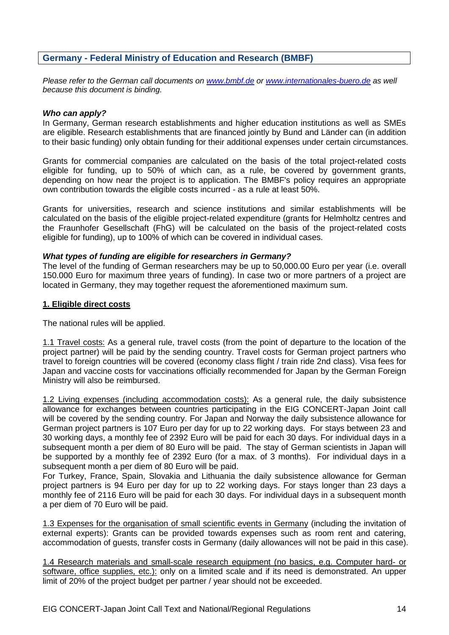# **Germany - Federal Ministry of Education and Research (BMBF)**

*Please refer to the German call documents on [www.bmbf.de](http://www.bmbf.de/) or [www.internationales-buero.de](http://www.internationales-buero.de/) as well because this document is binding.*

# *Who can apply?*

In Germany, German research establishments and higher education institutions as well as SMEs are eligible. Research establishments that are financed jointly by Bund and Länder can (in addition to their basic funding) only obtain funding for their additional expenses under certain circumstances.

Grants for commercial companies are calculated on the basis of the total project-related costs eligible for funding, up to 50% of which can, as a rule, be covered by government grants, depending on how near the project is to application. The BMBF's policy requires an appropriate own contribution towards the eligible costs incurred - as a rule at least 50%.

Grants for universities, research and science institutions and similar establishments will be calculated on the basis of the eligible project-related expenditure (grants for Helmholtz centres and the Fraunhofer Gesellschaft (FhG) will be calculated on the basis of the project-related costs eligible for funding), up to 100% of which can be covered in individual cases.

### *What types of funding are eligible for researchers in Germany?*

The level of the funding of German researchers may be up to 50,000.00 Euro per year (i.e. overall 150.000 Euro for maximum three years of funding). In case two or more partners of a project are located in Germany, they may together request the aforementioned maximum sum.

### **1. Eligible direct costs**

The national rules will be applied.

1.1 Travel costs: As a general rule, travel costs (from the point of departure to the location of the project partner) will be paid by the sending country. Travel costs for German project partners who travel to foreign countries will be covered (economy class flight / train ride 2nd class). Visa fees for Japan and vaccine costs for vaccinations officially recommended for Japan by the German Foreign Ministry will also be reimbursed.

1.2 Living expenses (including accommodation costs): As a general rule, the daily subsistence allowance for exchanges between countries participating in the EIG CONCERT-Japan Joint call will be covered by the sending country. For Japan and Norway the daily subsistence allowance for German project partners is 107 Euro per day for up to 22 working days. For stays between 23 and 30 working days, a monthly fee of 2392 Euro will be paid for each 30 days. For individual days in a subsequent month a per diem of 80 Euro will be paid. The stay of German scientists in Japan will be supported by a monthly fee of 2392 Euro (for a max. of 3 months). For individual days in a subsequent month a per diem of 80 Euro will be paid.

For Turkey, France, Spain, Slovakia and Lithuania the daily subsistence allowance for German project partners is 94 Euro per day for up to 22 working days. For stays longer than 23 days a monthly fee of 2116 Euro will be paid for each 30 days. For individual days in a subsequent month a per diem of 70 Euro will be paid.

1.3 Expenses for the organisation of small scientific events in Germany (including the invitation of external experts): Grants can be provided towards expenses such as room rent and catering, accommodation of guests, transfer costs in Germany (daily allowances will not be paid in this case).

1.4 Research materials and small-scale research equipment (no basics, e.g. Computer hard- or software, office supplies, etc.): only on a limited scale and if its need is demonstrated. An upper limit of 20% of the project budget per partner / year should not be exceeded.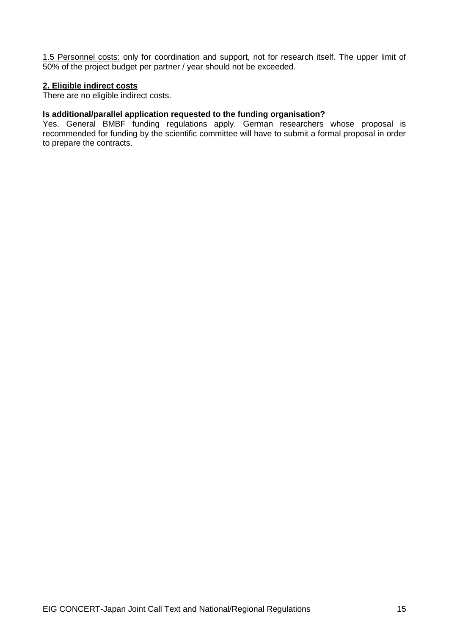1.5 Personnel costs: only for coordination and support, not for research itself. The upper limit of 50% of the project budget per partner / year should not be exceeded.

#### **2. Eligible indirect costs**

There are no eligible indirect costs.

# **Is additional/parallel application requested to the funding organisation?**

Yes. General BMBF funding regulations apply. German researchers whose proposal is recommended for funding by the scientific committee will have to submit a formal proposal in order to prepare the contracts.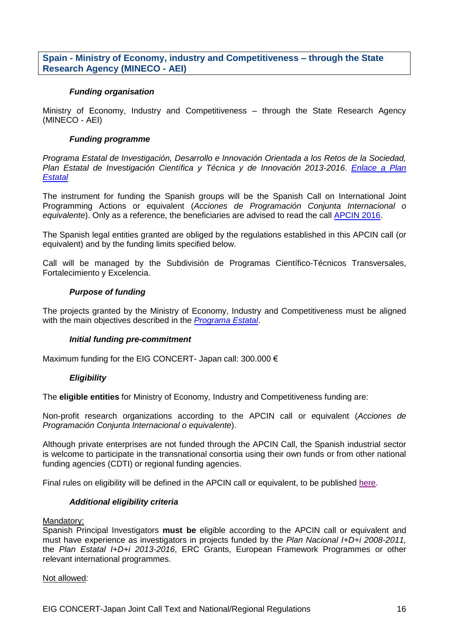**Spain - Ministry of Economy, industry and Competitiveness – through the State Research Agency (MINECO - AEI)**

### *Funding organisation*

Ministry of Economy, Industry and Competitiveness – through the State Research Agency (MINECO - AEI)

# *Funding programme*

*Programa Estatal de Investigación, Desarrollo e Innovación Orientada a los Retos de la Sociedad, Plan Estatal de Investigación Científica y Técnica y de Innovación 2013-2016*. *[Enlace a Plan](http://www.idi.mineco.gob.es/portal/site/MICINN/menuitem.d20caeda35a0c5dc7c68b11001432ea0/?vgnextoid=33f85656ecfee310VgnVCM1000001d04140aRCRD)  [Estatal](http://www.idi.mineco.gob.es/portal/site/MICINN/menuitem.d20caeda35a0c5dc7c68b11001432ea0/?vgnextoid=33f85656ecfee310VgnVCM1000001d04140aRCRD)*

The instrument for funding the Spanish groups will be the Spanish Call on International Joint Programming Actions or equivalent (*Acciones de Programación Conjunta Internacional o equivalente*). Only as a reference, the beneficiaries are advised to read the call [APCIN 2016.](http://www.idi.mineco.gob.es/portal/site/MICINN/menuitem.d20caeda35a0c5dc7c68b11001432ea0/?vgnextoid=33f85656ecfee310VgnVCM1000001d04140aRCRD)

The Spanish legal entities granted are obliged by the regulations established in this APCIN call (or equivalent) and by the funding limits specified below.

Call will be managed by the Subdivisión de Programas Científico-Técnicos Transversales, Fortalecimiento y Excelencia.

# *Purpose of funding*

The projects granted by the Ministry of Economy, Industry and Competitiveness must be aligned with the main objectives described in the *[Programa Estatal](http://www.idi.mineco.gob.es/portal/site/MICINN/menuitem.d20caeda35a0c5dc7c68b11001432ea0/?vgnextoid=33f85656ecfee310VgnVCM1000001d04140aRCRD)*.

# *Initial funding pre-commitment*

Maximum funding for the EIG CONCERT- Japan call: 300.000 €

# *Eligibility*

The **eligible entities** for Ministry of Economy, Industry and Competitiveness funding are:

Non-profit research organizations according to the APCIN call or equivalent (*Acciones de Programación Conjunta Internacional o equivalente*).

Although private enterprises are not funded through the APCIN Call, the Spanish industrial sector is welcome to participate in the transnational consortia using their own funds or from other national funding agencies (CDTI) or regional funding agencies.

Final rules on eligibility will be defined in the APCIN call or equivalent, to be published [here.](http://www.idi.mineco.gob.es/portal/site/MICINN/menuitem.d20caeda35a0c5dc7c68b11001432ea0/?vgnextoid=33f85656ecfee310VgnVCM1000001d04140aRCRD)

# *Additional eligibility criteria*

#### Mandatory:

Spanish Principal Investigators **must be** eligible according to the APCIN call or equivalent and must have experience as investigators in projects funded by the *Plan Nacional I+D+i 2008-2011,*  the *Plan Estatal I+D+i 2013-2016*, ERC Grants, European Framework Programmes or other relevant international programmes.

Not allowed: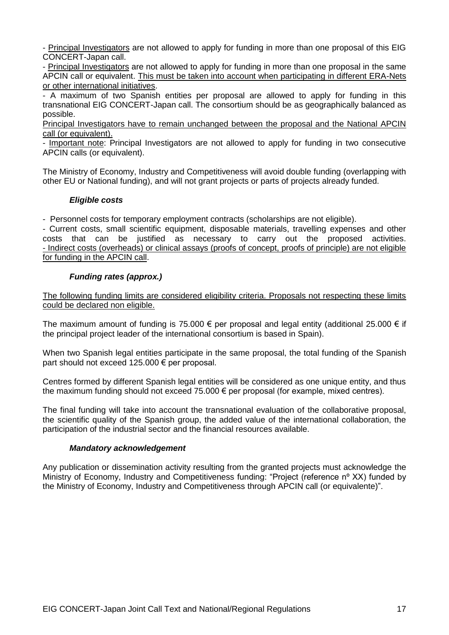- Principal Investigators are not allowed to apply for funding in more than one proposal of this EIG CONCERT-Japan call.

- Principal Investigators are not allowed to apply for funding in more than one proposal in the same APCIN call or equivalent. This must be taken into account when participating in different ERA-Nets or other international initiatives.

- A maximum of two Spanish entities per proposal are allowed to apply for funding in this transnational EIG CONCERT-Japan call. The consortium should be as geographically balanced as possible.

Principal Investigators have to remain unchanged between the proposal and the National APCIN call (or equivalent).

- Important note: Principal Investigators are not allowed to apply for funding in two consecutive APCIN calls (or equivalent).

The Ministry of Economy, Industry and Competitiveness will avoid double funding (overlapping with other EU or National funding), and will not grant projects or parts of projects already funded.

# *Eligible costs*

- Personnel costs for temporary employment contracts (scholarships are not eligible).

- Current costs, small scientific equipment, disposable materials, travelling expenses and other costs that can be justified as necessary to carry out the proposed activities. - Indirect costs (overheads) or clinical assays (proofs of concept, proofs of principle) are not eligible for funding in the APCIN call.

# *Funding rates (approx.)*

The following funding limits are considered eligibility criteria. Proposals not respecting these limits could be declared non eligible.

The maximum amount of funding is 75.000  $\epsilon$  per proposal and legal entity (additional 25.000  $\epsilon$  if the principal project leader of the international consortium is based in Spain).

When two Spanish legal entities participate in the same proposal, the total funding of the Spanish part should not exceed 125.000 € per proposal.

Centres formed by different Spanish legal entities will be considered as one unique entity, and thus the maximum funding should not exceed 75.000 € per proposal (for example, mixed centres).

The final funding will take into account the transnational evaluation of the collaborative proposal, the scientific quality of the Spanish group, the added value of the international collaboration, the participation of the industrial sector and the financial resources available.

#### *Mandatory acknowledgement*

Any publication or dissemination activity resulting from the granted projects must acknowledge the Ministry of Economy, Industry and Competitiveness funding: "Project (reference nº XX) funded by the Ministry of Economy, Industry and Competitiveness through APCIN call (or equivalente)".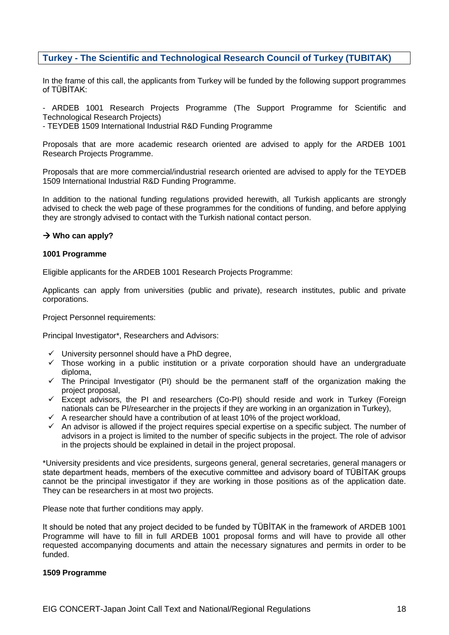# **Turkey - The Scientific and Technological Research Council of Turkey (TUBITAK)**

In the frame of this call, the applicants from Turkey will be funded by the following support programmes of TÜBİTAK:

- ARDEB 1001 Research Projects Programme (The Support Programme for Scientific and Technological Research Projects)

- TEYDEB 1509 International Industrial R&D Funding Programme

Proposals that are more academic research oriented are advised to apply for the ARDEB 1001 Research Projects Programme.

Proposals that are more commercial/industrial research oriented are advised to apply for the TEYDEB 1509 International Industrial R&D Funding Programme.

In addition to the national funding regulations provided herewith, all Turkish applicants are strongly advised to check the web page of these programmes for the conditions of funding, and before applying they are strongly advised to contact with the Turkish national contact person.

#### $→$  **Who can apply?**

#### **1001 Programme**

Eligible applicants for the ARDEB 1001 Research Projects Programme:

Applicants can apply from universities (public and private), research institutes, public and private corporations.

Project Personnel requirements:

Principal Investigator\*, Researchers and Advisors:

- $\checkmark$  University personnel should have a PhD degree,
- $\checkmark$  Those working in a public institution or a private corporation should have an undergraduate diploma,
- $\checkmark$  The Principal Investigator (PI) should be the permanent staff of the organization making the project proposal,
- $\checkmark$  Except advisors, the PI and researchers (Co-PI) should reside and work in Turkey (Foreign nationals can be PI/researcher in the projects if they are working in an organization in Turkey),
- $\checkmark$  A researcher should have a contribution of at least 10% of the project workload,
- $\checkmark$  An advisor is allowed if the project requires special expertise on a specific subject. The number of advisors in a project is limited to the number of specific subjects in the project. The role of advisor in the projects should be explained in detail in the project proposal.

\*University presidents and vice presidents, surgeons general, general secretaries, general managers or state department heads, members of the executive committee and advisory board of TÜBİTAK groups cannot be the principal investigator if they are working in those positions as of the application date. They can be researchers in at most two projects.

Please note that further conditions may apply.

It should be noted that any project decided to be funded by TÜBİTAK in the framework of ARDEB 1001 Programme will have to fill in full ARDEB 1001 proposal forms and will have to provide all other requested accompanying documents and attain the necessary signatures and permits in order to be funded.

#### **1509 Programme**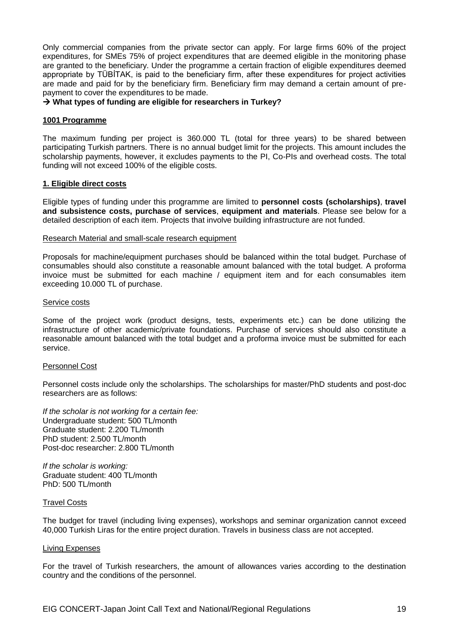Only commercial companies from the private sector can apply. For large firms 60% of the project expenditures, for SMEs 75% of project expenditures that are deemed eligible in the monitoring phase are granted to the beneficiary. Under the programme a certain fraction of eligible expenditures deemed appropriate by TÜBİTAK, is paid to the beneficiary firm, after these expenditures for project activities are made and paid for by the beneficiary firm. Beneficiary firm may demand a certain amount of prepayment to cover the expenditures to be made.

#### **What types of funding are eligible for researchers in Turkey?**

#### **1001 Programme**

The maximum funding per project is 360.000 TL (total for three years) to be shared between participating Turkish partners. There is no annual budget limit for the projects. This amount includes the scholarship payments, however, it excludes payments to the PI, Co-PIs and overhead costs. The total funding will not exceed 100% of the eligible costs.

#### **1. Eligible direct costs**

Eligible types of funding under this programme are limited to **personnel costs (scholarships)**, **travel and subsistence costs, purchase of services**, **equipment and materials**. Please see below for a detailed description of each item. Projects that involve building infrastructure are not funded.

#### Research Material and small-scale research equipment

Proposals for machine/equipment purchases should be balanced within the total budget. Purchase of consumables should also constitute a reasonable amount balanced with the total budget. A proforma invoice must be submitted for each machine / equipment item and for each consumables item exceeding 10.000 TL of purchase.

#### Service costs

Some of the project work (product designs, tests, experiments etc.) can be done utilizing the infrastructure of other academic/private foundations. Purchase of services should also constitute a reasonable amount balanced with the total budget and a proforma invoice must be submitted for each service.

#### Personnel Cost

Personnel costs include only the scholarships. The scholarships for master/PhD students and post-doc researchers are as follows:

*If the scholar is not working for a certain fee:* Undergraduate student: 500 TL/month Graduate student: 2.200 TL/month PhD student: 2.500 TL/month Post-doc researcher: 2.800 TL/month

*If the scholar is working:* Graduate student: 400 TL/month PhD: 500 TL/month

#### Travel Costs

The budget for travel (including living expenses), workshops and seminar organization cannot exceed 40,000 Turkish Liras for the entire project duration. Travels in business class are not accepted.

#### Living Expenses

For the travel of Turkish researchers, the amount of allowances varies according to the destination country and the conditions of the personnel.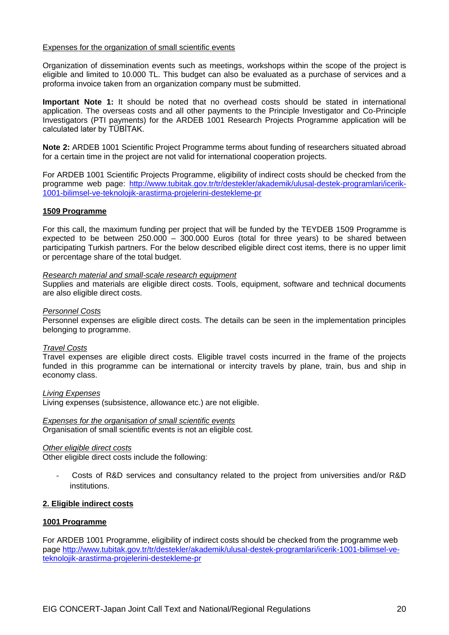#### Expenses for the organization of small scientific events

Organization of dissemination events such as meetings, workshops within the scope of the project is eligible and limited to 10.000 TL. This budget can also be evaluated as a purchase of services and a proforma invoice taken from an organization company must be submitted.

**Important Note 1:** It should be noted that no overhead costs should be stated in international application. The overseas costs and all other payments to the Principle Investigator and Co-Principle Investigators (PTI payments) for the ARDEB 1001 Research Projects Programme application will be calculated later by TÜBİTAK.

**Note 2:** ARDEB 1001 Scientific Project Programme terms about funding of researchers situated abroad for a certain time in the project are not valid for international cooperation projects.

For ARDEB 1001 Scientific Projects Programme, eligibility of indirect costs should be checked from the programme web page: [http://www.tubitak.gov.tr/tr/destekler/akademik/ulusal-destek-programlari/icerik-](http://www.tubitak.gov.tr/tr/destekler/akademik/ulusal-destek-programlari/icerik-1001-bilimsel-ve-teknolojik-arastirma-projelerini-destekleme-pr)[1001-bilimsel-ve-teknolojik-arastirma-projelerini-destekleme-pr](http://www.tubitak.gov.tr/tr/destekler/akademik/ulusal-destek-programlari/icerik-1001-bilimsel-ve-teknolojik-arastirma-projelerini-destekleme-pr)

#### **1509 Programme**

For this call, the maximum funding per project that will be funded by the TEYDEB 1509 Programme is expected to be between 250.000 – 300.000 Euros (total for three years) to be shared between participating Turkish partners. For the below described eligible direct cost items, there is no upper limit or percentage share of the total budget.

#### *Research material and small-scale research equipment*

Supplies and materials are eligible direct costs. Tools, equipment, software and technical documents are also eligible direct costs.

#### *Personnel Costs*

Personnel expenses are eligible direct costs. The details can be seen in the implementation principles belonging to programme.

#### *Travel Costs*

Travel expenses are eligible direct costs. Eligible travel costs incurred in the frame of the projects funded in this programme can be international or intercity travels by plane, train, bus and ship in economy class.

#### *Living Expenses*

Living expenses (subsistence, allowance etc.) are not eligible.

# *Expenses for the organisation of small scientific events*

Organisation of small scientific events is not an eligible cost.

#### *Other eligible direct costs*

Other eligible direct costs include the following:

- Costs of R&D services and consultancy related to the project from universities and/or R&D institutions.

#### **2. Eligible indirect costs**

#### **1001 Programme**

For ARDEB 1001 Programme, eligibility of indirect costs should be checked from the programme web page [http://www.tubitak.gov.tr/tr/destekler/akademik/ulusal-destek-programlari/icerik-1001-bilimsel-ve](http://www.tubitak.gov.tr/tr/destekler/akademik/ulusal-destek-programlari/icerik-1001-bilimsel-ve-teknolojik-arastirma-projelerini-destekleme-pr)[teknolojik-arastirma-projelerini-destekleme-pr](http://www.tubitak.gov.tr/tr/destekler/akademik/ulusal-destek-programlari/icerik-1001-bilimsel-ve-teknolojik-arastirma-projelerini-destekleme-pr)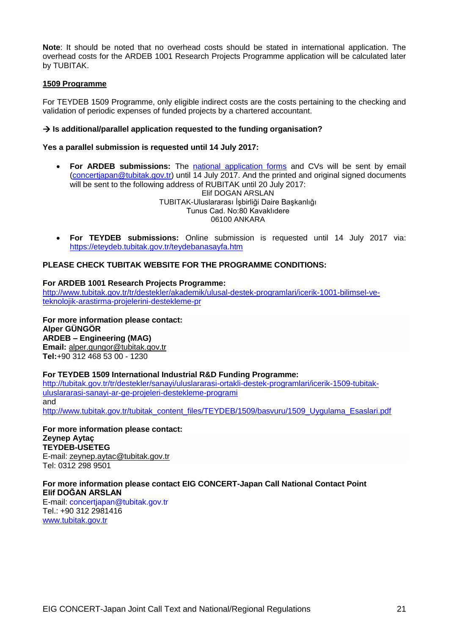**Note**: It should be noted that no overhead costs should be stated in international application. The overhead costs for the ARDEB 1001 Research Projects Programme application will be calculated later by TUBITAK.

### **1509 Programme**

For TEYDEB 1509 Programme, only eligible indirect costs are the costs pertaining to the checking and validation of periodic expenses of funded projects by a chartered accountant.

### **Is additional/parallel application requested to the funding organisation?**

#### **Yes a parallel submission is requested until 14 July 2017:**

- **For ARDEB submissions:** The [national application forms](http://concert-japan.eu/spip.php?article45) and CVs will be sent by email [\(concertjapan@tubitak.gov.tr\)](mailto:concertjapan@tubitak.gov.tr) until 14 July 2017. And the printed and original signed documents will be sent to the following address of RUBITAK until 20 July 2017: Elif DOGAN ARSLAN TUBITAK-Uluslararası İşbirliği Daire Başkanlığı Tunus Cad. No:80 Kavaklıdere 06100 ANKARA
- **For TEYDEB submissions:** Online submission is requested until 14 July 2017 via: <https://eteydeb.tubitak.gov.tr/teydebanasayfa.htm>

### **PLEASE CHECK TUBITAK WEBSITE FOR THE PROGRAMME CONDITIONS:**

#### **For ARDEB 1001 Research Projects Programme:**

[http://www.tubitak.gov.tr/tr/destekler/akademik/ulusal-destek-programlari/icerik-1001-bilimsel-ve](http://www.tubitak.gov.tr/tr/destekler/akademik/ulusal-destek-programlari/icerik-1001-bilimsel-ve-teknolojik-arastirma-projelerini-destekleme-pr)[teknolojik-arastirma-projelerini-destekleme-pr](http://www.tubitak.gov.tr/tr/destekler/akademik/ulusal-destek-programlari/icerik-1001-bilimsel-ve-teknolojik-arastirma-projelerini-destekleme-pr)

**For more information please contact: Alper GÜNGÖR ARDEB – Engineering (MAG) Email:** [alper.gungor@tubitak.gov.tr](http://www.tubitak.gov.tra@tubitak.gov.tr/) **Tel:**[+90 312 468 53 00](callto:+90%20312%20468%2053%2000) - 1230

#### **For TEYDEB 1509 International Industrial R&D Funding Programme:**

[http://tubitak.gov.tr/tr/destekler/sanayi/uluslararasi-ortakli-destek-programlari/icerik-1509-tubitak](http://tubitak.gov.tr/tr/destekler/sanayi/uluslararasi-ortakli-destek-programlari/icerik-1509-tubitak-uluslararasi-sanayi-ar-ge-projeleri-destekleme-programi)[uluslararasi-sanayi-ar-ge-projeleri-destekleme-programi](http://tubitak.gov.tr/tr/destekler/sanayi/uluslararasi-ortakli-destek-programlari/icerik-1509-tubitak-uluslararasi-sanayi-ar-ge-projeleri-destekleme-programi) and [http://www.tubitak.gov.tr/tubitak\\_content\\_files/TEYDEB/1509/basvuru/1509\\_Uygulama\\_Esaslari.pdf](http://www.tubitak.gov.tr/tubitak_content_files/TEYDEB/1509/basvuru/1509_Uygulama_Esaslari.pdf)

**For more information please contact: Zeynep Aytaç TEYDEB-USETEG** E-mail: [zeynep.aytac@tubitak.gov.tr](mailto:zeynep.aytac@tubitak.gov.tr) Tel: [0312 298 9501](callto:0312%20298%209501)

#### **For more information please contact EIG CONCERT-Japan Call National Contact Point Elif DOĞAN ARSLAN**

E-mail: concertjapan@tubitak.gov.tr Tel.: +90 312 2981416 [www.tubitak.gov.tr](http://www.tubitak.gov.tr/)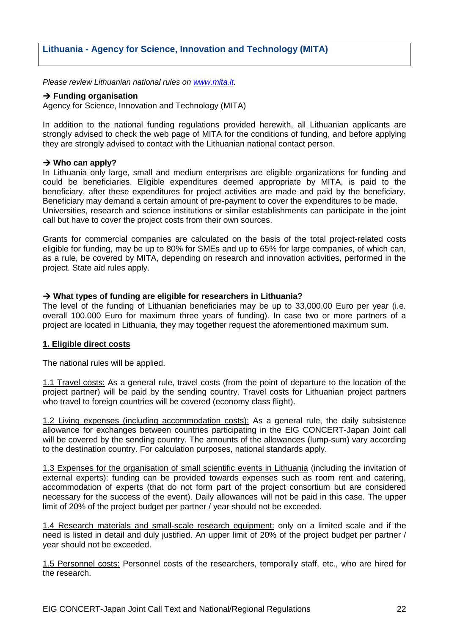# **Lithuania - Agency for Science, Innovation and Technology (MITA)**

*Please review Lithuanian national rules on [www.mita.lt.](http://www.mita.lt/)*

### $→$  **Funding organisation**

Agency for Science, Innovation and Technology (MITA)

In addition to the national funding regulations provided herewith, all Lithuanian applicants are strongly advised to check the web page of MITA for the conditions of funding, and before applying they are strongly advised to contact with the Lithuanian national contact person.

### $→$  **Who can apply?**

In Lithuania only large, small and medium enterprises are eligible organizations for funding and could be beneficiaries. Eligible expenditures deemed appropriate by MITA, is paid to the beneficiary, after these expenditures for project activities are made and paid by the beneficiary. Beneficiary may demand a certain amount of pre-payment to cover the expenditures to be made. Universities, research and science institutions or similar establishments can participate in the joint call but have to cover the project costs from their own sources.

Grants for commercial companies are calculated on the basis of the total project-related costs eligible for funding, may be up to 80% for SMEs and up to 65% for large companies, of which can, as a rule, be covered by MITA, depending on research and innovation activities, performed in the project. State aid rules apply.

# **What types of funding are eligible for researchers in Lithuania?**

The level of the funding of Lithuanian beneficiaries may be up to 33,000.00 Euro per year (i.e. overall 100.000 Euro for maximum three years of funding). In case two or more partners of a project are located in Lithuania, they may together request the aforementioned maximum sum.

#### **1. Eligible direct costs**

The national rules will be applied.

1.1 Travel costs: As a general rule, travel costs (from the point of departure to the location of the project partner) will be paid by the sending country. Travel costs for Lithuanian project partners who travel to foreign countries will be covered (economy class flight).

1.2 Living expenses (including accommodation costs): As a general rule, the daily subsistence allowance for exchanges between countries participating in the EIG CONCERT-Japan Joint call will be covered by the sending country. The amounts of the allowances (lump-sum) vary according to the destination country. For calculation purposes, national standards apply.

1.3 Expenses for the organisation of small scientific events in Lithuania (including the invitation of external experts): funding can be provided towards expenses such as room rent and catering, accommodation of experts (that do not form part of the project consortium but are considered necessary for the success of the event). Daily allowances will not be paid in this case. The upper limit of 20% of the project budget per partner / year should not be exceeded.

1.4 Research materials and small-scale research equipment: only on a limited scale and if the need is listed in detail and duly justified. An upper limit of 20% of the project budget per partner / year should not be exceeded.

1.5 Personnel costs: Personnel costs of the researchers, temporally staff, etc., who are hired for the research.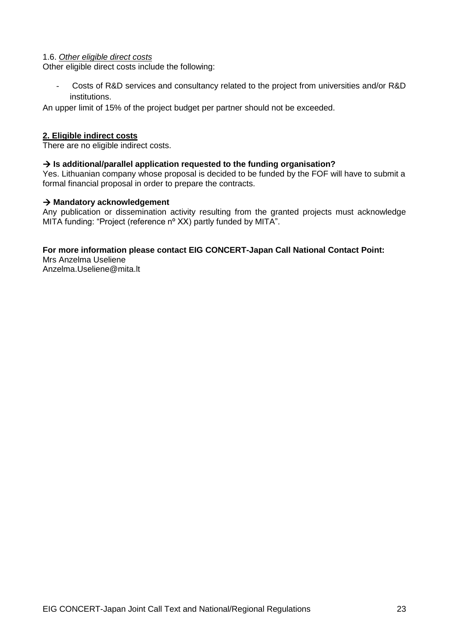### 1.6. *Other eligible direct costs*

Other eligible direct costs include the following:

- Costs of R&D services and consultancy related to the project from universities and/or R&D institutions.

An upper limit of 15% of the project budget per partner should not be exceeded.

# **2. Eligible indirect costs**

There are no eligible indirect costs.

# **Is additional/parallel application requested to the funding organisation?**

Yes. Lithuanian company whose proposal is decided to be funded by the FOF will have to submit a formal financial proposal in order to prepare the contracts.

### **Mandatory acknowledgement**

Any publication or dissemination activity resulting from the granted projects must acknowledge MITA funding: "Project (reference nº XX) partly funded by MITA".

# **For more information please contact EIG CONCERT-Japan Call National Contact Point:**

Mrs Anzelma Useliene Anzelma.Useliene@mita.lt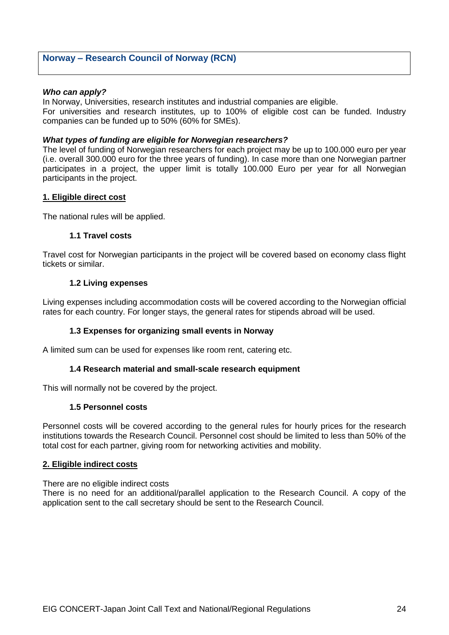# **Norway – Research Council of Norway (RCN)**

#### *Who can apply?*

In Norway, Universities, research institutes and industrial companies are eligible. For universities and research institutes, up to 100% of eligible cost can be funded. Industry companies can be funded up to 50% (60% for SMEs).

### *What types of funding are eligible for Norwegian researchers?*

The level of funding of Norwegian researchers for each project may be up to 100.000 euro per year (i.e. overall 300.000 euro for the three years of funding). In case more than one Norwegian partner participates in a project, the upper limit is totally 100.000 Euro per year for all Norwegian participants in the project.

### **1. Eligible direct cost**

The national rules will be applied.

### **1.1 Travel costs**

Travel cost for Norwegian participants in the project will be covered based on economy class flight tickets or similar.

### **1.2 Living expenses**

Living expenses including accommodation costs will be covered according to the Norwegian official rates for each country. For longer stays, the general rates for stipends abroad will be used.

# **1.3 Expenses for organizing small events in Norway**

A limited sum can be used for expenses like room rent, catering etc.

#### **1.4 Research material and small-scale research equipment**

This will normally not be covered by the project.

#### **1.5 Personnel costs**

Personnel costs will be covered according to the general rules for hourly prices for the research institutions towards the Research Council. Personnel cost should be limited to less than 50% of the total cost for each partner, giving room for networking activities and mobility.

#### **2. Eligible indirect costs**

There are no eligible indirect costs

There is no need for an additional/parallel application to the Research Council. A copy of the application sent to the call secretary should be sent to the Research Council.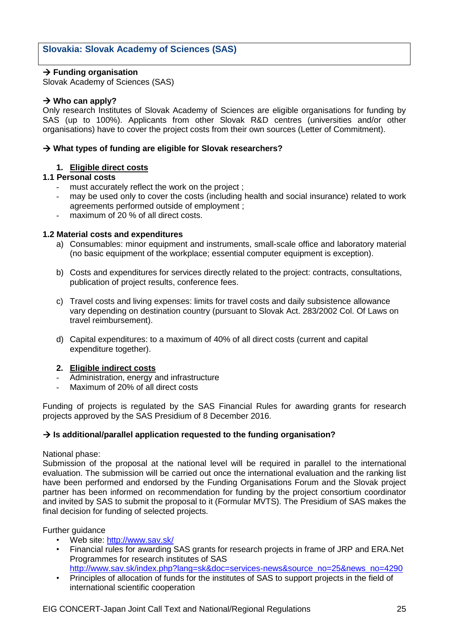# **Slovakia: Slovak Academy of Sciences (SAS)**

# $→$  **Funding organisation**

Slovak Academy of Sciences (SAS)

# **→ Who can apply?**

Only research Institutes of Slovak Academy of Sciences are eligible organisations for funding by SAS (up to 100%). Applicants from other Slovak R&D centres (universities and/or other organisations) have to cover the project costs from their own sources (Letter of Commitment).

### **What types of funding are eligible for Slovak researchers?**

# **1. Eligible direct costs**

# **1.1 Personal costs**

- must accurately reflect the work on the project ;
- may be used only to cover the costs (including health and social insurance) related to work agreements performed outside of employment ;
- maximum of 20 % of all direct costs.

### **1.2 Material costs and expenditures**

- a) Consumables: minor equipment and instruments, small-scale office and laboratory material (no basic equipment of the workplace; essential computer equipment is exception).
- b) Costs and expenditures for services directly related to the project: contracts, consultations, publication of project results, conference fees.
- c) Travel costs and living expenses: limits for travel costs and daily subsistence allowance vary depending on destination country (pursuant to Slovak Act. 283/2002 Col. Of Laws on travel reimbursement).
- d) Capital expenditures: to a maximum of 40% of all direct costs (current and capital expenditure together).

#### **2. Eligible indirect costs**

- Administration, energy and infrastructure
- Maximum of 20% of all direct costs

Funding of projects is regulated by the SAS Financial Rules for awarding grants for research projects approved by the SAS Presidium of 8 December 2016.

# **Is additional/parallel application requested to the funding organisation?**

National phase:

Submission of the proposal at the national level will be required in parallel to the international evaluation. The submission will be carried out once the international evaluation and the ranking list have been performed and endorsed by the Funding Organisations Forum and the Slovak project partner has been informed on recommendation for funding by the project consortium coordinator and invited by SAS to submit the proposal to it (Formular MVTS). The Presidium of SAS makes the final decision for funding of selected projects.

Further guidance

- Web site:<http://www.sav.sk/>
- Financial rules for awarding SAS grants for research projects in frame of JRP and ERA.Net Programmes for research institutes of SAS [http://www.sav.sk/index.php?lang=sk&doc=services-news&source\\_no=25&news\\_no=4290](http://www.sav.sk/index.php?lang=sk&doc=services-news&source_no=25&news_no=4290)
- Principles of allocation of funds for the institutes of SAS to support projects in the field of international scientific cooperation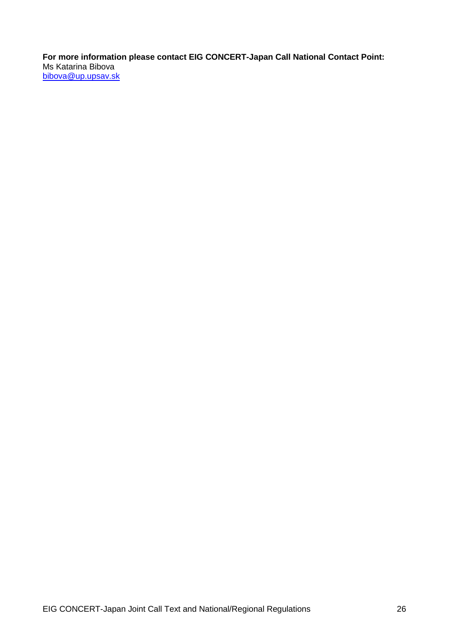**For more information please contact EIG CONCERT-Japan Call National Contact Point:** Ms Katarina Bibova [bibova@up.upsav.sk](mailto:bibova@up.upsav.sk)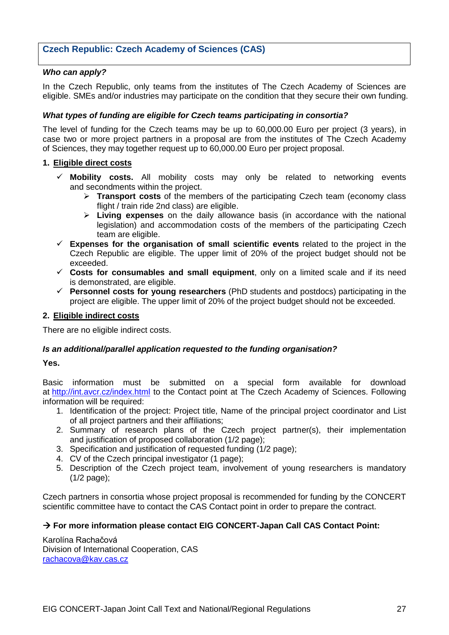# **Czech Republic: Czech Academy of Sciences (CAS)**

# *Who can apply?*

In the Czech Republic, only teams from the institutes of The Czech Academy of Sciences are eligible. SMEs and/or industries may participate on the condition that they secure their own funding.

# *What types of funding are eligible for Czech teams participating in consortia?*

The level of funding for the Czech teams may be up to 60,000.00 Euro per project (3 years), in case two or more project partners in a proposal are from the institutes of The Czech Academy of Sciences, they may together request up to 60,000.00 Euro per project proposal.

### **1. Eligible direct costs**

- **Mobility costs.** All mobility costs may only be related to networking events and secondments within the project.
	- **Transport costs** of the members of the participating Czech team (economy class flight / train ride 2nd class) are eligible.
	- **Living expenses** on the daily allowance basis (in accordance with the national legislation) and accommodation costs of the members of the participating Czech team are eligible.
- **Expenses for the organisation of small scientific events** related to the project in the Czech Republic are eligible. The upper limit of 20% of the project budget should not be exceeded.
- **Costs for consumables and small equipment**, only on a limited scale and if its need is demonstrated, are eligible.
- **Personnel costs for young researchers** (PhD students and postdocs) participating in the project are eligible. The upper limit of 20% of the project budget should not be exceeded.

### **2. Eligible indirect costs**

There are no eligible indirect costs.

# *Is an additional/parallel application requested to the funding organisation?*

#### **Yes.**

Basic information must be submitted on a special form available for download at <http://int.avcr.cz/index.html> to the Contact point at The Czech Academy of Sciences. Following information will be required:

- 1. Identification of the project: Project title, Name of the principal project coordinator and List of all project partners and their affiliations;
- 2. Summary of research plans of the Czech project partner(s), their implementation and justification of proposed collaboration (1/2 page);
- 3. Specification and justification of requested funding (1/2 page);
- 4. CV of the Czech principal investigator (1 page);
- 5. Description of the Czech project team, involvement of young researchers is mandatory (1/2 page);

Czech partners in consortia whose project proposal is recommended for funding by the CONCERT scientific committee have to contact the CAS Contact point in order to prepare the contract.

# **For more information please contact EIG CONCERT-Japan Call CAS Contact Point:**

Karolína Rachačová Division of International Cooperation, CAS [rachacova@kav.cas.cz](mailto:rachacova@kav.cas.cz)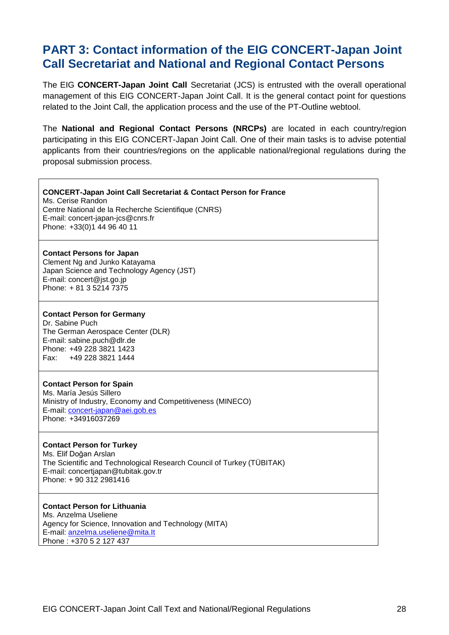# **PART 3: Contact information of the EIG CONCERT-Japan Joint Call Secretariat and National and Regional Contact Persons**

The EIG **CONCERT-Japan Joint Call** Secretariat (JCS) is entrusted with the overall operational management of this EIG CONCERT-Japan Joint Call. It is the general contact point for questions related to the Joint Call, the application process and the use of the PT-Outline webtool.

The **National and Regional Contact Persons (NRCPs)** are located in each country/region participating in this EIG CONCERT-Japan Joint Call. One of their main tasks is to advise potential applicants from their countries/regions on the applicable national/regional regulations during the proposal submission process.

#### **CONCERT-Japan Joint Call Secretariat & Contact Person for France** Ms. Cerise Randon

Centre National de la Recherche Scientifique (CNRS) E-mail: concert-japan-jcs@cnrs.fr Phone: +33(0)1 44 96 40 11

### **Contact Persons for Japan**

Clement Ng and Junko Katayama Japan Science and Technology Agency (JST) E-mail: concert@jst.go.jp Phone: + 81 3 5214 7375

### **Contact Person for Germany**

Dr. Sabine Puch The German Aerospace Center (DLR) E-mail: sabine.puch@dlr.de Phone: +49 228 3821 1423 Fax: +49 228 3821 1444

# **Contact Person for Spain**

Ms. María Jesús Sillero Ministry of Industry, Economy and Competitiveness (MINECO) E-mail: [concert-japan@aei.gob.es](mailto:concert-japan@aei.gob.es) Phone: +34916037269

# **Contact Person for Turkey**

Ms. Elif Doğan Arslan The Scientific and Technological Research Council of Turkey (TÜBITAK) E-mail: concertjapan@tubitak.gov.tr Phone: + 90 312 2981416

# **Contact Person for Lithuania**

Ms. Anzelma Useliene Agency for Science, Innovation and Technology (MITA) E-mail: [anzelma.useliene@mita.It](mailto:anzelma.useliene@mita.It) Phone : +370 5 2 127 437